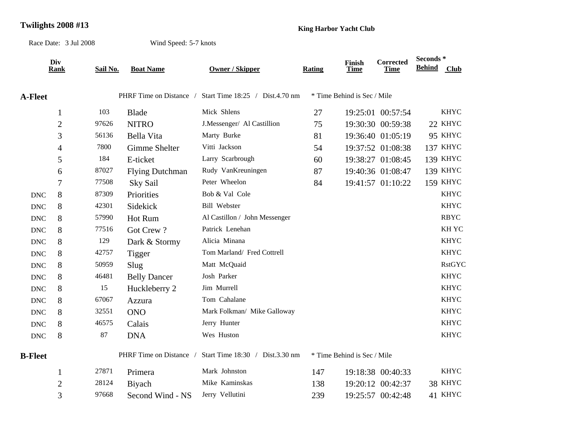## **Twilights 2008 #13 King Harbor Yacht Club**

Race Date: 3 Jul 2008

Wind Speed: 5-7 knots

|                           | Div<br>Rank    | Sail No. | <b>Boat Name</b>        | <b>Owner / Skipper</b>          | Rating | Finish<br><b>Time</b>       | <b>Corrected</b><br><b>Time</b> | Seconds *<br><b>Behind</b> | <b>Club</b>     |
|---------------------------|----------------|----------|-------------------------|---------------------------------|--------|-----------------------------|---------------------------------|----------------------------|-----------------|
|                           |                |          |                         |                                 |        |                             |                                 |                            |                 |
| <b>A-Fleet</b>            |                |          | PHRF Time on Distance / | Start Time 18:25 / Dist.4.70 nm |        | * Time Behind is Sec / Mile |                                 |                            |                 |
|                           | $\mathbf{1}$   | 103      | <b>Blade</b>            | Mick Shlens                     | 27     |                             | 19:25:01 00:57:54               |                            | <b>KHYC</b>     |
|                           | $\overline{2}$ | 97626    | <b>NITRO</b>            | J.Messenger/ Al Castillion      | 75     |                             | 19:30:30 00:59:38               |                            | 22 KHYC         |
|                           | 3              | 56136    | Bella Vita              | Marty Burke                     | 81     |                             | 19:36:40 01:05:19               |                            | 95 KHYC         |
|                           | 4              | 7800     | <b>Gimme Shelter</b>    | Vitti Jackson                   | 54     |                             | 19:37:52 01:08:38               |                            | 137 KHYC        |
|                           | 5              | 184      | E-ticket                | Larry Scarbrough                | 60     |                             | 19:38:27 01:08:45               |                            | <b>139 KHYC</b> |
|                           | 6              | 87027    | <b>Flying Dutchman</b>  | Rudy VanKreuningen              | 87     |                             | 19:40:36 01:08:47               |                            | 139 KHYC        |
|                           | $\tau$         | 77508    | Sky Sail                | Peter Wheelon                   | 84     |                             | 19:41:57 01:10:22               |                            | <b>159 KHYC</b> |
| <b>DNC</b>                | 8              | 87309    | Priorities              | Bob & Val Cole                  |        |                             |                                 |                            | <b>KHYC</b>     |
| <b>DNC</b>                | 8              | 42301    | Sidekick                | <b>Bill Webster</b>             |        |                             |                                 |                            | <b>KHYC</b>     |
| $\ensuremath{\text{DNC}}$ | 8              | 57990    | Hot Rum                 | Al Castillon / John Messenger   |        |                             |                                 |                            | <b>RBYC</b>     |
| <b>DNC</b>                | 8              | 77516    | Got Crew?               | Patrick Lenehan                 |        |                             |                                 |                            | <b>KHYC</b>     |
| <b>DNC</b>                | 8              | 129      | Dark & Stormy           | Alicia Minana                   |        |                             |                                 |                            | <b>KHYC</b>     |
| <b>DNC</b>                | 8              | 42757    | Tigger                  | Tom Marland/ Fred Cottrell      |        |                             |                                 |                            | <b>KHYC</b>     |
| <b>DNC</b>                | 8              | 50959    | Slug                    | Matt McQuaid                    |        |                             |                                 |                            | <b>RstGYC</b>   |
| <b>DNC</b>                | 8              | 46481    | <b>Belly Dancer</b>     | Josh Parker                     |        |                             |                                 |                            | <b>KHYC</b>     |
| <b>DNC</b>                | 8              | 15       | Huckleberry 2           | Jim Murrell                     |        |                             |                                 |                            | <b>KHYC</b>     |
| <b>DNC</b>                | 8              | 67067    | Azzura                  | Tom Cahalane                    |        |                             |                                 |                            | <b>KHYC</b>     |
| $\ensuremath{\text{DNC}}$ | 8              | 32551    | <b>ONO</b>              | Mark Folkman/ Mike Galloway     |        |                             |                                 |                            | <b>KHYC</b>     |
| <b>DNC</b>                | 8              | 46575    | Calais                  | Jerry Hunter                    |        |                             |                                 |                            | <b>KHYC</b>     |
| $\ensuremath{\text{DNC}}$ | 8              | 87       | <b>DNA</b>              | Wes Huston                      |        |                             |                                 |                            | <b>KHYC</b>     |
| <b>B-Fleet</b>            |                |          | PHRF Time on Distance / | Start Time 18:30 / Dist.3.30 nm |        | * Time Behind is Sec / Mile |                                 |                            |                 |
|                           | $\mathbf{1}$   | 27871    | Primera                 | Mark Johnston                   | 147    |                             | 19:18:38 00:40:33               |                            | <b>KHYC</b>     |
|                           | $\overline{2}$ | 28124    | <b>B</b> iyach          | Mike Kaminskas                  | 138    |                             | 19:20:12 00:42:37               |                            | 38 KHYC         |
|                           | 3              | 97668    | Second Wind - NS        | Jerry Vellutini                 | 239    |                             | 19:25:57 00:42:48               |                            | 41 KHYC         |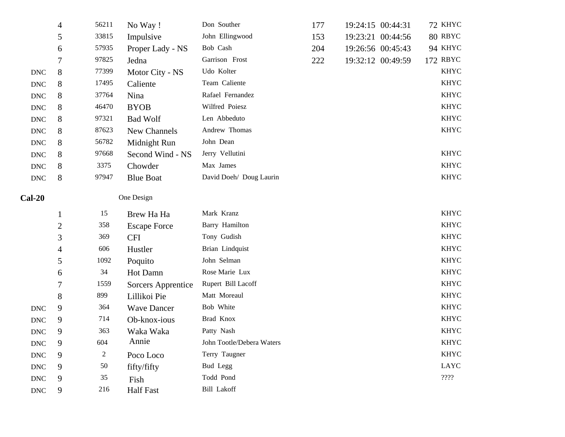|                           | 4              | 56211  | No Way!             | Don Souther               | 177 | 19:24:15 00:44:31 | 72 KHYC                                    |
|---------------------------|----------------|--------|---------------------|---------------------------|-----|-------------------|--------------------------------------------|
|                           | 5              | 33815  | Impulsive           | John Ellingwood           | 153 | 19:23:21 00:44:56 | 80 RBYC                                    |
|                           | 6              | 57935  | Proper Lady - NS    | Bob Cash                  | 204 | 19:26:56 00:45:43 | 94 KHYC                                    |
|                           | 7              | 97825  | Jedna               | Garrison Frost            | 222 | 19:32:12 00:49:59 | 172 RBYC                                   |
| <b>DNC</b>                | 8              | 77399  | Motor City - NS     | Udo Kolter                |     |                   | <b>KHYC</b>                                |
| $\ensuremath{\text{DNC}}$ | 8              | 17495  | Caliente            | Team Caliente             |     |                   | <b>KHYC</b>                                |
| $\ensuremath{\text{DNC}}$ | 8              | 37764  | Nina                | Rafael Fernandez          |     |                   | <b>KHYC</b>                                |
| $\ensuremath{\text{DNC}}$ | 8              | 46470  | <b>BYOB</b>         | Wilfred Poiesz            |     |                   | <b>KHYC</b>                                |
| $\ensuremath{\text{DNC}}$ | 8              | 97321  | <b>Bad Wolf</b>     | Len Abbeduto              |     |                   | <b>KHYC</b>                                |
| $\ensuremath{\text{DNC}}$ | 8              | 87623  | New Channels        | Andrew Thomas             |     |                   | <b>KHYC</b>                                |
| <b>DNC</b>                | 8              | 56782  | Midnight Run        | John Dean                 |     |                   |                                            |
| $\ensuremath{\text{DNC}}$ | 8              | 97668  | Second Wind - NS    | Jerry Vellutini           |     |                   | <b>KHYC</b>                                |
| $\ensuremath{\text{DNC}}$ | 8              | 3375   | Chowder             | Max James                 |     |                   | <b>KHYC</b>                                |
| $\ensuremath{\text{DNC}}$ | 8              | 97947  | <b>Blue Boat</b>    | David Doeh/ Doug Laurin   |     |                   | <b>KHYC</b>                                |
| Cal-20                    |                |        | One Design          |                           |     |                   |                                            |
|                           | $\mathbf{1}$   | 15     | Brew Ha Ha          | Mark Kranz                |     |                   | <b>KHYC</b>                                |
|                           | $\overline{2}$ | 358    | <b>Escape Force</b> | Barry Hamilton            |     |                   | <b>KHYC</b>                                |
|                           | 3              | 369    | <b>CFI</b>          | Tony Gudish               |     |                   | <b>KHYC</b>                                |
|                           | 4              | 606    | Hustler             | Brian Lindquist           |     |                   | <b>KHYC</b>                                |
|                           | 5              | 1092   | Poquito             | John Selman               |     |                   | <b>KHYC</b>                                |
|                           | 6              | 34     | Hot Damn            | Rose Marie Lux            |     |                   | <b>KHYC</b>                                |
|                           | 7              | 1559   | Sorcers Apprentice  | Rupert Bill Lacoff        |     |                   | <b>KHYC</b>                                |
|                           | 8              | 899    | Lillikoi Pie        | Matt Moreaul              |     |                   | <b>KHYC</b>                                |
| $\ensuremath{\text{DNC}}$ | 9              | 364    | <b>Wave Dancer</b>  | Bob White                 |     |                   | <b>KHYC</b>                                |
| <b>DNC</b>                | 9              | 714    | Ob-knox-ious        | Brad Knox                 |     |                   | <b>KHYC</b>                                |
| $\ensuremath{\text{DNC}}$ | 9              | 363    | Waka Waka           | Patty Nash                |     |                   | <b>KHYC</b>                                |
| $\ensuremath{\text{DNC}}$ | 9              | 604    | Annie               | John Tootle/Debera Waters |     |                   | <b>KHYC</b>                                |
| $\ensuremath{\text{DNC}}$ | 9              | 2      | Poco Loco           | Terry Taugner             |     |                   | <b>KHYC</b>                                |
| $\ensuremath{\text{DNC}}$ | 9              | $50\,$ | fifty/fifty         | Bud Legg                  |     |                   | <b>LAYC</b>                                |
| $\ensuremath{\text{DNC}}$ | 9              | 35     | Fish                | Todd Pond                 |     |                   | $\mathbf{?}\mathbf{?}\mathbf{?}\mathbf{?}$ |
| <b>DNC</b>                | 9              | 216    | <b>Half Fast</b>    | <b>Bill Lakoff</b>        |     |                   |                                            |